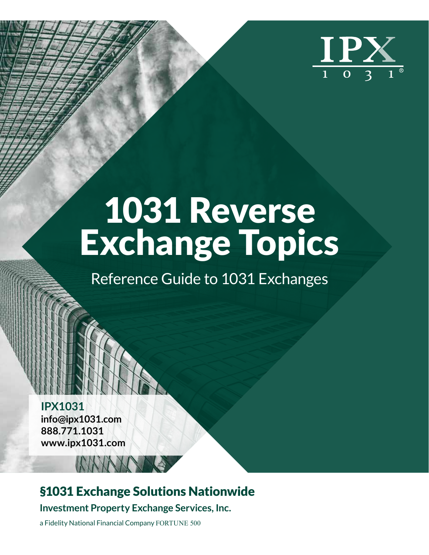

## 1031 Reverse Exchange Topics

Reference Guide to 1031 Exchanges

**IPX1031 info@ipx1031.com 888.771.1031 www.ipx1031.com**

### §1031 Exchange Solutions Nationwide

**Investment Property Exchange Services, Inc.**

a Fidelity National Financial Company FORTUNE 500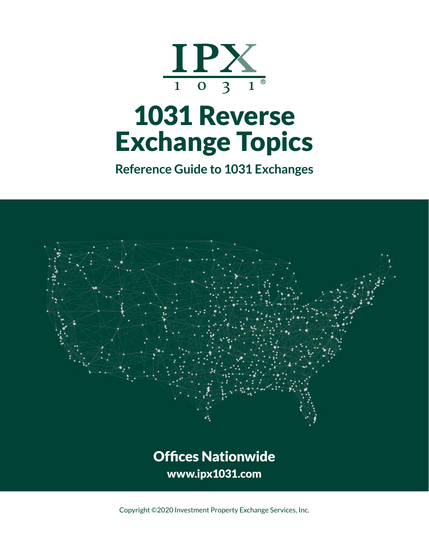

## 1031 Reverse Exchange Topics

**Reference Guide to 1031 Exchanges**



Offices Nationwide www.ipx1031.com

Copyright ©2020 Investment Property Exchange Services, Inc.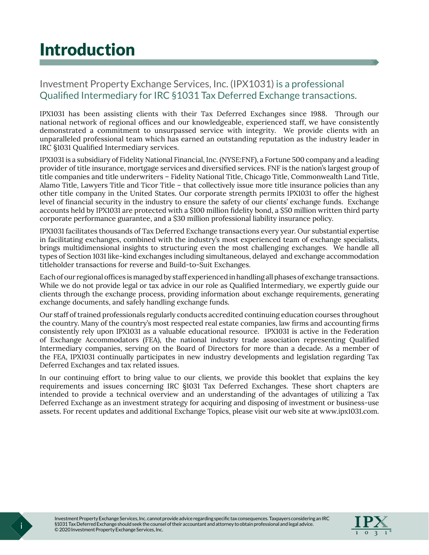### Introduction

#### Investment Property Exchange Services, Inc. (IPX1031) is a professional Qualified Intermediary for IRC §1031 Tax Deferred Exchange transactions.

IPX1031 has been assisting clients with their Tax Deferred Exchanges since 1988. Through our national network of regional offices and our knowledgeable, experienced staff, we have consistently demonstrated a commitment to unsurpassed service with integrity. We provide clients with an unparalleled professional team which has earned an outstanding reputation as the industry leader in IRC §1031 Qualified Intermediary services.

IPX1031 is a subsidiary of Fidelity National Financial, Inc. (NYSE:FNF), a Fortune 500 company and a leading provider of title insurance, mortgage services and diversified services. FNF is the nation's largest group of title companies and title underwriters – Fidelity National Title, Chicago Title, Commonwealth Land Title, Alamo Title, Lawyers Title and Ticor Title – that collectively issue more title insurance policies than any other title company in the United States. Our corporate strength permits IPX1031 to offer the highest level of financial security in the industry to ensure the safety of our clients' exchange funds. Exchange accounts held by IPX1031 are protected with a \$100 million fidelity bond, a \$50 million written third party corporate performance guarantee, and a \$30 million professional liability insurance policy.

IPX1031 facilitates thousands of Tax Deferred Exchange transactions every year. Our substantial expertise in facilitating exchanges, combined with the industry's most experienced team of exchange specialists, brings multidimensional insights to structuring even the most challenging exchanges. We handle all types of Section 1031 like-kind exchanges including simultaneous, delayed and exchange accommodation titleholder transactions for reverse and Build-to-Suit Exchanges.

Each of our regional offices is managed by staff experienced in handling all phases of exchange transactions. While we do not provide legal or tax advice in our role as Qualified Intermediary, we expertly guide our clients through the exchange process, providing information about exchange requirements, generating exchange documents, and safely handling exchange funds.

Our staff of trained professionals regularly conducts accredited continuing education courses throughout the country. Many of the country's most respected real estate companies, law firms and accounting firms consistently rely upon IPX1031 as a valuable educational resource. IPX1031 is active in the Federation of Exchange Accommodators (FEA), the national industry trade association representing Qualified Intermediary companies, serving on the Board of Directors for more than a decade. As a member of the FEA, IPX1031 continually participates in new industry developments and legislation regarding Tax Deferred Exchanges and tax related issues.

In our continuing effort to bring value to our clients, we provide this booklet that explains the key requirements and issues concerning IRC §1031 Tax Deferred Exchanges. These short chapters are intended to provide a technical overview and an understanding of the advantages of utilizing a Tax Deferred Exchange as an investment strategy for acquiring and disposing of investment or business-use assets. For recent updates and additional Exchange Topics, please visit our web site at www.ipx1031.com.

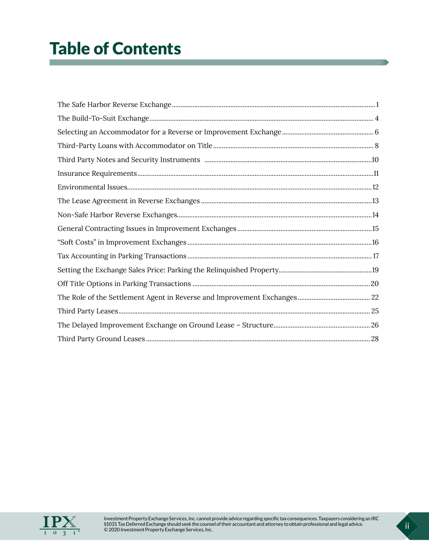### Table of Contents

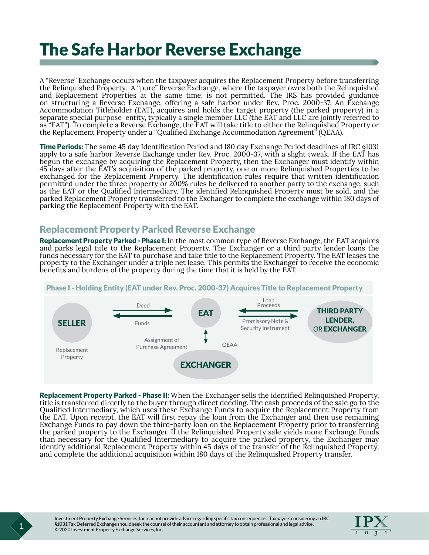### <span id="page-4-0"></span>The Safe Harbor Reverse Exchange

A "Reverse" Exchange occurs when the taxpayer acquires the Replacement Property before transferring the Relinquished Property. A "pure" Reverse Exchange, where the taxpayer owns both the Relinquished and Replacement Properties at the same time, is not permitted. The IRS has provided guidance on structuring a Reverse Exchange, offering a safe harbor under Rev. Proc. 2000-37. An Exchange Accommodation Titleholder (EAT), acquires and holds the target property (the parked property) in a separate special purpose entity, typically a single member LLC (the EAT and LLC are jointly referred to as "EAT"). To complete a Reverse Exchange, the EAT will take title to either the Relinquished Property or the Replacement Property under a "Qualified Exchange Accommodation Agreement" (QEAA).

Time Periods: The same 45 day Identification Period and 180 day Exchange Period deadlines of IRC §1031 apply to a safe harbor Reverse Exchange under Rev. Proc. 2000-37, with a slight tweak. If the EAT has begun the exchange by acquiring the Replacement Property, then the Exchanger must identify within 45 days after the EAT's acquisition of the parked property, one or more Relinquished Properties to be exchanged for the Replacement Property. The identification rules require that written identification permitted under the three property or 200% rules be delivered to another party to the exchange, such as the EAT or the Qualified Intermediary. The identified Relinquished Property must be sold, and the parked Replacement Property transferred to the Exchanger to complete the exchange within 180 days of parking the Replacement Property with the EAT.

#### Replacement Property Parked Reverse Exchange

Replacement Property Parked - Phase I: In the most common type of Reverse Exchange, the EAT acquires and parks legal title to the Replacement Property. The Exchanger or a third party lender loans the property to the Exchanger under a triple net lease. This permits the Exchanger to receive the economic benefits and burdens of the property during the time that it is held by the EAT.



Replacement Property Parked - Phase II: When the Exchanger sells the identified Relinquished Property, title is transferred directly to the buyer through direct deeding. The cash proceeds of the sale go to the Qualified Intermediary, which uses these Exchange Funds to acquire the Replacement Property from the EAT. Upon receipt, the EAT will first repay the loan from the Exchanger and then use remaining Exchange Funds to pay down the third-party loan on the Replacement Property prior to transferring the parked property to the Exchanger. If the Relinquished Property sale yields more Exchange Funds than necessary for the Qualified Intermediary to acquire the parked property, the Exchanger may identify additional Replacement Property within 45 days of the transfer of the Relinquished Property, and complete the additional acquisition within 180 days of the Relinquished Property transfer.

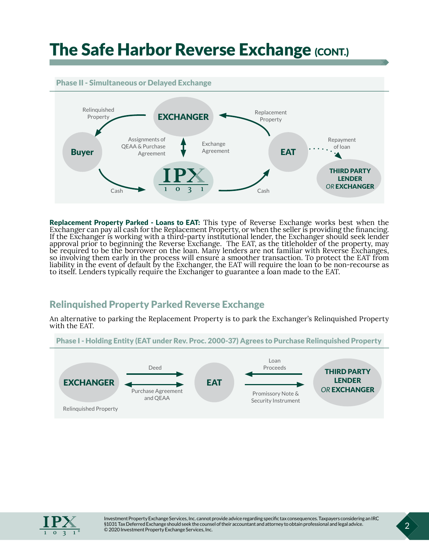### **The Safe Harbor Reverse Exchange (CONT.)**

#### Phase II - Simultaneous or Delayed Exchange



Replacement Property Parked - Loans to EAT: This type of Reverse Exchange works best when the Exchanger can pay all cash for the Replacement Property, or when the seller is providing the financing. If the Exchanger is working with a third-party institutional lender, the Exchanger should seek lender approval prior to beginning the Reverse Exchange. The EAT, as the titleholder of the property, may be required to be the borrower on the loan. Many lenders are not familiar with Reverse Exchanges, so involving them early in the process will ensure a smoother transaction. To protect the EAT from liability in the event of default by the Exchanger, the EAT will require the loan to be non-recourse as to itself. Lenders typically require the Exchanger to guarantee a loan made to the EAT.

#### Relinquished Property Parked Reverse Exchange

An alternative to parking the Replacement Property is to park the Exchanger's Relinquished Property with the EAT.





Investment Property Exchange Services, Inc. cannot provide advice regarding specific tax consequences. Taxpayers considering an IRC §1031 Tax Deferred Exchange should seek the counsel of their accountant and attorney to obtain professional and legal advice. © 2020 Investment Property Exchange Services, Inc. 2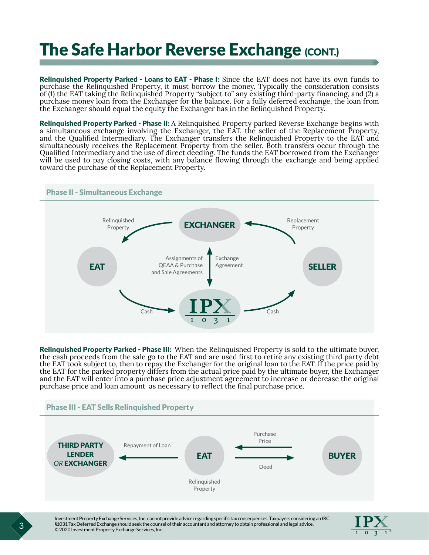### **The Safe Harbor Reverse Exchange (CONT.)**

Relinquished Property Parked - Loans to EAT - Phase I: Since the EAT does not have its own funds to purchase the Relinquished Property, it must borrow the money. Typically the consideration consists of (1) the EAT taking the Relinquished Property "subject to" any existing third-party financing, and (2) a purchase money loan from the Exchanger for the balance. For a fully deferred exchange, the loan from the Exchanger should equal the equity the Exchanger has in the Relinquished Property.

**Relinquished Property Parked - Phase II:** A Relinquished Property parked Reverse Exchange begins with a simultaneous exchange involving the Exchanger, the EAT, the seller of the Replacement Property, and the Qualified Intermediary. The Exchanger transfers the Relinquished Property to the EAT and simultaneously receives the Replacement Property from the seller. Both transfers occur through the Qualified Intermediary and the use of direct deeding. The funds the EAT borrowed from the Exchanger will be used to pay closing costs, with any balance flowing through the exchange and being applied toward the purchase of the Replacement Property.

#### Phase II - Simultaneous Exchange EAT EXCHANGER SELLER Assignments of QEAA & Purchase and Sale Agreements Exchange Agreement Replacement Property Relinquished Property Cash Cash

Relinquished Property Parked - Phase III: When the Relinquished Property is sold to the ultimate buyer, the cash proceeds from the sale go to the EAT and are used first to retire any existing third party debt the EAT took subject to, then to repay the Exchanger for the original loan to the EAT. If the price paid by the EAT for the parked property differs from the actual price paid by the ultimate buyer, the Exchanger and the EAT will enter into a purchase price adjustment agreement to increase or decrease the original purchase price and loan amount as necessary to reflect the final purchase price.



Investment Property Exchange Services, Inc. cannot provide advice regarding specific tax consequences. Taxpayers considering an IRC §1031 Tax Deferred Exchange should seek the counsel of their accountant and attorney to obtain professional and legal advice. © 2020 Investment Property Exchange Services, Inc. 3

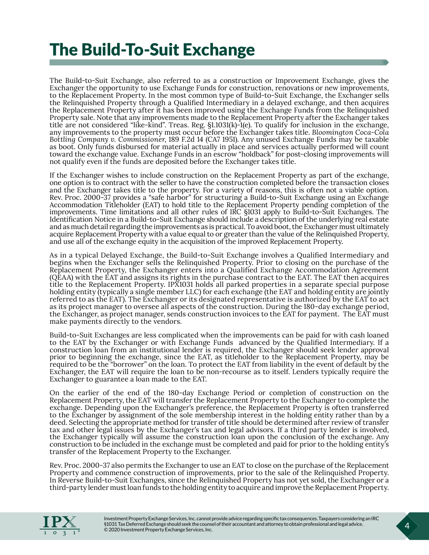### <span id="page-7-0"></span>The Build-To-Suit Exchange

The Build-to-Suit Exchange, also referred to as a construction or Improvement Exchange, gives the Exchanger the opportunity to use Exchange Funds for construction, renovations or new improvements, to the Replacement Property. In the most common type of Build-to-Suit Exchange, the Exchanger sells the Relinquished Property through a Qualified Intermediary in a delayed exchange, and then acquires the Replacement Property after it has been improved using the Exchange Funds from the Relinquished Property sale. Note that any improvements made to the Replacement Property after the Exchanger takes title are not considered "like-kind". Treas. Reg. §1.1031(k)-1(e). To qualify for inclusion in the exchange, any improvements to the property must occur before the Exchanger takes title. *Bloomington Coca-Cola Bottling Company v. Commissioner*, 189 F.2d 14 (CA7 1951). Any unused Exchange Funds may be taxable as boot. Only funds disbursed for material actually in place and services actually performed will count toward the exchange value. Exchange Funds in an escrow "holdback" for post-closing improvements will not qualify even if the funds are deposited before the Exchanger takes title.

If the Exchanger wishes to include construction on the Replacement Property as part of the exchange, one option is to contract with the seller to have the construction completed before the transaction closes and the Exchanger takes title to the property. For a variety of reasons, this is often not a viable option. Rev. Proc. 2000-37 provides a "safe harbor" for structuring a Build-to-Suit Exchange using an Exchange Accommodation Titleholder (EAT) to hold title to the Replacement Property pending completion of the improvements. Time limitations and all other rules of IRC §1031 apply to Build-to-Suit Exchanges. The Identification Notice in a Build-to-Suit Exchange should include a description of the underlying real estate and as much detail regarding the improvements as is practical. To avoid boot, the Exchanger must ultimately acquire Replacement Property with a value equal to or greater than the value of the Relinquished Property, and use all of the exchange equity in the acquisition of the improved Replacement Property.

As in a typical Delayed Exchange, the Build-to-Suit Exchange involves a Qualified Intermediary and begins when the Exchanger sells the Relinquished Property. Prior to closing on the purchase of the Replacement Property, the Exchanger enters into a Qualified Exchange Accommodation Agreement (QEAA) with the EAT and assigns its rights in the purchase contract to the EAT. The EAT then acquires title to the Replacement Property. IPX1031 holds all parked properties in a separate special purpose holding entity (typically a single member LLC) for each exchange (the EAT and holding entity are jointly referred to as the EAT). The Exchanger or its designated representative is authorized by the EAT to act as its project manager to oversee all aspects of the construction. During the 180-day exchange period, the Exchanger, as project manager, sends construction invoices to the EAT for payment. The EAT must make payments directly to the vendors.

Build-to-Suit Exchanges are less complicated when the improvements can be paid for with cash loaned to the EAT by the Exchanger or with Exchange Funds advanced by the Qualified Intermediary. If a construction loan from an institutional lender is required, the Exchanger should seek lender approval prior to beginning the exchange, since the EAT, as titleholder to the Replacement Property, may be required to be the "borrower" on the loan. To protect the EAT from liability in the event of default by the Exchanger, the EAT will require the loan to be non-recourse as to itself. Lenders typically require the Exchanger to guarantee a loan made to the EAT.

On the earlier of the end of the 180-day Exchange Period or completion of construction on the Replacement Property, the EAT will transfer the Replacement Property to the Exchanger to complete the exchange. Depending upon the Exchanger's preference, the Replacement Property is often transferred to the Exchanger by assignment of the sole membership interest in the holding entity rather than by a deed. Selecting the appropriate method for transfer of title should be determined after review of transfer tax and other legal issues by the Exchanger's tax and legal advisors. If a third party lender is involved, the Exchanger typically will assume the construction loan upon the conclusion of the exchange. Any construction to be included in the exchange must be completed and paid for prior to the holding entity's transfer of the Replacement Property to the Exchanger.

Rev. Proc. 2000-37 also permits the Exchanger to use an EAT to close on the purchase of the Replacement Property and commence construction of improvements, prior to the sale of the Relinquished Property. In Reverse Build-to-Suit Exchanges, since the Relinquished Property has not yet sold, the Exchanger or a third-party lender must loan funds to the holding entity to acquire and improve the Replacement Property.

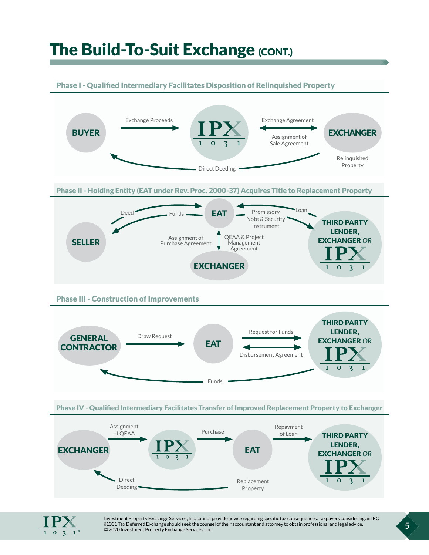### The Build-To-Suit Exchange (CONT.)

#### Phase I - Qualified Intermediary Facilitates Disposition of Relinquished Property





Investment Property Exchange Services, Inc. cannot provide advice regarding specific tax consequences. Taxpayers considering an IRC §1031 Tax Deferred Exchange should seek the counsel of their accountant and attorney to obtain professional and legal advice. © 2020 Investment Property Exchange Services, Inc. 5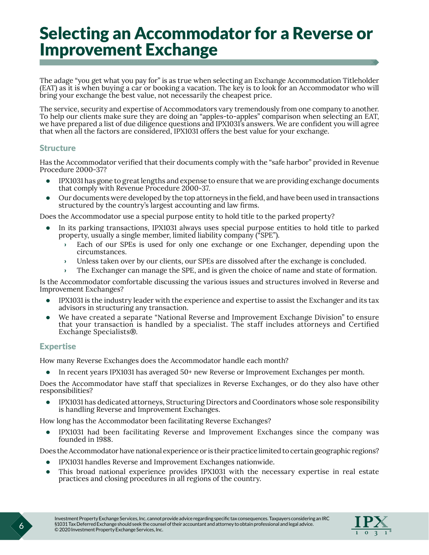### <span id="page-9-0"></span>Selecting an Accommodator for a Reverse or Improvement Exchange

The adage "you get what you pay for" is as true when selecting an Exchange Accommodation Titleholder (EAT) as it is when buying a car or booking a vacation. The key is to look for an Accommodator who will bring your exchange the best value, not necessarily the cheapest price.

The service, security and expertise of Accommodators vary tremendously from one company to another. To help our clients make sure they are doing an "apples-to-apples" comparison when selecting an EAT, we have prepared a list of due diligence questions and IPX1031's answers. We are confident you will agree that when all the factors are considered, IPX1031 offers the best value for your exchange.

#### **Structure**

Has the Accommodator verified that their documents comply with the "safe harbor" provided in Revenue Procedure 2000-37?

- IPX1031 has gone to great lengths and expense to ensure that we are providing exchange documents that comply with Revenue Procedure 2000-37.
- Our documents were developed by the top attorneys in the field, and have been used in transactions structured by the country's largest accounting and law firms.

Does the Accommodator use a special purpose entity to hold title to the parked property?

- In its parking transactions, IPX1031 always uses special purpose entities to hold title to parked property, usually a single member, limited liability company ("SPE").
	- › Each of our SPEs is used for only one exchange or one Exchanger, depending upon the circumstances.
	- › Unless taken over by our clients, our SPEs are dissolved after the exchange is concluded.
	- › The Exchanger can manage the SPE, and is given the choice of name and state of formation.

Is the Accommodator comfortable discussing the various issues and structures involved in Reverse and Improvement Exchanges?

- IPX1031 is the industry leader with the experience and expertise to assist the Exchanger and its tax advisors in structuring any transaction.
- We have created a separate "National Reverse and Improvement Exchange Division" to ensure that your transaction is handled by a specialist. The staff includes attorneys and Certified Exchange Specialists®.

#### Expertise

How many Reverse Exchanges does the Accommodator handle each month?

• In recent years IPX1031 has averaged 50+ new Reverse or Improvement Exchanges per month.

Does the Accommodator have staff that specializes in Reverse Exchanges, or do they also have other responsibilities?

• IPX1031 has dedicated attorneys, Structuring Directors and Coordinators whose sole responsibility is handling Reverse and Improvement Exchanges.

How long has the Accommodator been facilitating Reverse Exchanges?

• IPX1031 had been facilitating Reverse and Improvement Exchanges since the company was founded in 1988.

Does the Accommodator have national experience or is their practice limited to certain geographic regions?

- IPX1031 handles Reverse and Improvement Exchanges nationwide.
- This broad national experience provides IPX1031 with the necessary expertise in real estate practices and closing procedures in all regions of the country.

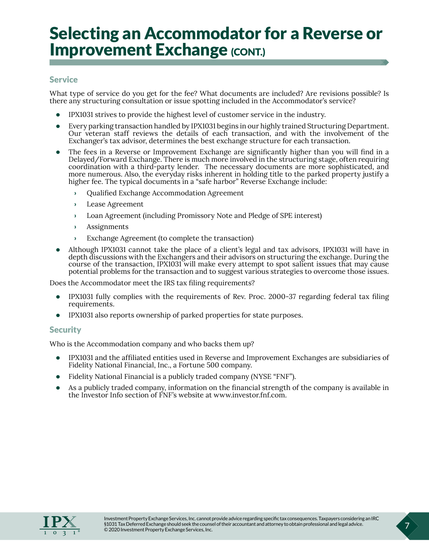### Selecting an Accommodator for a Reverse or **Improvement Exchange (CONT.)**

#### **Service**

What type of service do you get for the fee? What documents are included? Are revisions possible? Is there any structuring consultation or issue spotting included in the Accommodator's service?

- IPX1031 strives to provide the highest level of customer service in the industry.
- Every parking transaction handled by IPX1031 begins in our highly trained Structuring Department. Our veteran staff reviews the details of each transaction, and with the involvement of the Exchanger's tax advisor, determines the best exchange structure for each transaction.
- The fees in a Reverse or Improvement Exchange are significantly higher than you will find in a Delayed/Forward Exchange. There is much more involved in the structuring stage, often requiring coordination with a third-party lender. The necessary documents are more sophisticated, and more numerous. Also, the everyday risks inherent in holding title to the parked property justify a higher fee. The typical documents in a "safe harbor" Reverse Exchange include:
	- › Qualified Exchange Accommodation Agreement
	- › Lease Agreement
	- › Loan Agreement (including Promissory Note and Pledge of SPE interest)
	- › Assignments
	- Exchange Agreement (to complete the transaction)
- Although IPX1031 cannot take the place of a client's legal and tax advisors, IPX1031 will have in depth discussions with the Exchangers and their advisors on structuring the exchange. During the course of the transaction, IPX1031 will make every attempt to spot salient issues that may cause potential problems for the transaction and to suggest various strategies to overcome those issues.

Does the Accommodator meet the IRS tax filing requirements?

- IPX1031 fully complies with the requirements of Rev. Proc. 2000-37 regarding federal tax filing requirements.
- IPX1031 also reports ownership of parked properties for state purposes.

#### **Security**

Who is the Accommodation company and who backs them up?

- IPX1031 and the affiliated entities used in Reverse and Improvement Exchanges are subsidiaries of Fidelity National Financial, Inc., a Fortune 500 company.
- Fidelity National Financial is a publicly traded company (NYSE "FNF").
- As a publicly traded company, information on the financial strength of the company is available in the Investor Info section of FNF's website at www.investor.fnf.com.

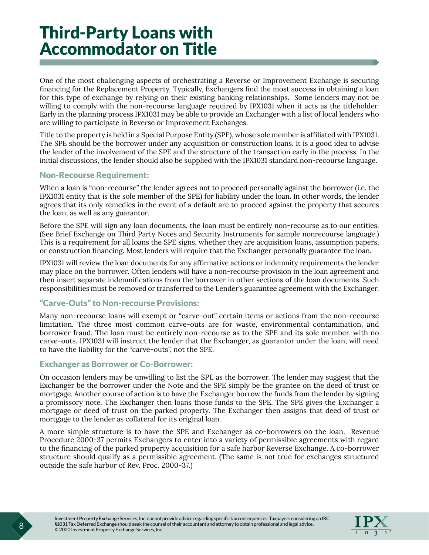### <span id="page-11-0"></span>Third-Party Loans with Accommodator on Title

One of the most challenging aspects of orchestrating a Reverse or Improvement Exchange is securing financing for the Replacement Property. Typically, Exchangers find the most success in obtaining a loan for this type of exchange by relying on their existing banking relationships. Some lenders may not be willing to comply with the non-recourse language required by IPX1031 when it acts as the titleholder. Early in the planning process IPX1031 may be able to provide an Exchanger with a list of local lenders who are willing to participate in Reverse or Improvement Exchanges.

Title to the property is held in a Special Purpose Entity (SPE), whose sole member is affiliated with IPX1031. The SPE should be the borrower under any acquisition or construction loans. It is a good idea to advise the lender of the involvement of the SPE and the structure of the transaction early in the process. In the initial discussions, the lender should also be supplied with the IPX1031 standard non-recourse language.

#### Non-Recourse Requirement:

When a loan is "non-recourse" the lender agrees not to proceed personally against the borrower (i.e. the IPX1031 entity that is the sole member of the SPE) for liability under the loan. In other words, the lender agrees that its only remedies in the event of a default are to proceed against the property that secures the loan, as well as any guarantor.

Before the SPE will sign any loan documents, the loan must be entirely non-recourse as to our entities. (See Brief Exchange on Third Party Notes and Security Instruments for sample nonrecourse language.) This is a requirement for all loans the SPE signs, whether they are acquisition loans, assumption papers, or construction financing. Most lenders will require that the Exchanger personally guarantee the loan.

IPX1031 will review the loan documents for any affirmative actions or indemnity requirements the lender may place on the borrower. Often lenders will have a non-recourse provision in the loan agreement and then insert separate indemnifications from the borrower in other sections of the loan documents. Such responsibilities must be removed or transferred to the Lender's guarantee agreement with the Exchanger.

#### "Carve-Outs" to Non-recourse Provisions:

Many non-recourse loans will exempt or "carve-out" certain items or actions from the non-recourse limitation. The three most common carve-outs are for waste, environmental contamination, and borrower fraud. The loan must be entirely non-recourse as to the SPE and its sole member, with no carve-outs. IPX1031 will instruct the lender that the Exchanger, as guarantor under the loan, will need to have the liability for the "carve-outs", not the SPE.

#### Exchanger as Borrower or Co-Borrower:

On occasion lenders may be unwilling to list the SPE as the borrower. The lender may suggest that the Exchanger be the borrower under the Note and the SPE simply be the grantee on the deed of trust or mortgage. Another course of action is to have the Exchanger borrow the funds from the lender by signing a promissory note. The Exchanger then loans those funds to the SPE. The SPE gives the Exchanger a mortgage or deed of trust on the parked property. The Exchanger then assigns that deed of trust or mortgage to the lender as collateral for its original loan.

A more simple structure is to have the SPE and Exchanger as co-borrowers on the loan. Revenue Procedure 2000-37 permits Exchangers to enter into a variety of permissible agreements with regard to the financing of the parked property acquisition for a safe harbor Reverse Exchange. A co-borrower structure should qualify as a permissible agreement. (The same is not true for exchanges structured outside the safe harbor of Rev. Proc. 2000-37.)

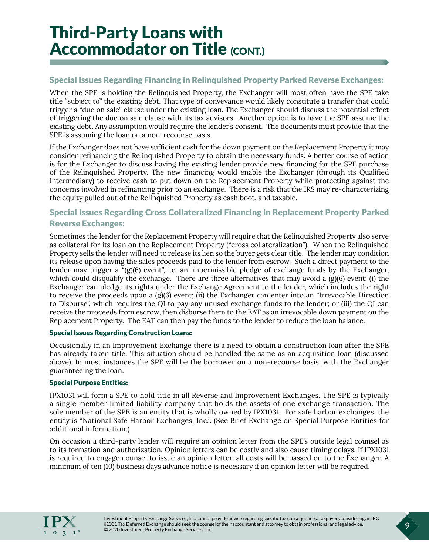### Third-Party Loans with **Accommodator on Title (CONT.)**

#### Special Issues Regarding Financing in Relinquished Property Parked Reverse Exchanges:

When the SPE is holding the Relinquished Property, the Exchanger will most often have the SPE take title "subject to" the existing debt. That type of conveyance would likely constitute a transfer that could trigger a "due on sale" clause under the existing loan. The Exchanger should discuss the potential effect of triggering the due on sale clause with its tax advisors. Another option is to have the SPE assume the existing debt. Any assumption would require the lender's consent. The documents must provide that the SPE is assuming the loan on a non-recourse basis.

If the Exchanger does not have sufficient cash for the down payment on the Replacement Property it may consider refinancing the Relinquished Property to obtain the necessary funds. A better course of action is for the Exchanger to discuss having the existing lender provide new financing for the SPE purchase of the Relinquished Property. The new financing would enable the Exchanger (through its Qualified Intermediary) to receive cash to put down on the Replacement Property while protecting against the concerns involved in refinancing prior to an exchange. There is a risk that the IRS may re-characterizing the equity pulled out of the Relinquished Property as cash boot, and taxable.

#### Special Issues Regarding Cross Collateralized Financing in Replacement Property Parked Reverse Exchanges:

Sometimes the lender for the Replacement Property will require that the Relinquished Property also serve as collateral for its loan on the Replacement Property ("cross collateralization"). When the Relinquished Property sells the lender will need to release its lien so the buyer gets clear title. The lender may condition its release upon having the sales proceeds paid to the lender from escrow. Such a direct payment to the lender may trigger a "(g)(6) event", i.e. an impermissible pledge of exchange funds by the Exchanger, which could disqualify the exchange. There are three alternatives that may avoid a  $(g)(6)$  event: (i) the Exchanger can pledge its rights under the Exchange Agreement to the lender, which includes the right to receive the proceeds upon a (g)(6) event; (ii) the Exchanger can enter into an "Irrevocable Direction to Disburse", which requires the QI to pay any unused exchange funds to the lender; or (iii) the QI can receive the proceeds from escrow, then disburse them to the EAT as an irrevocable down payment on the Replacement Property. The EAT can then pay the funds to the lender to reduce the loan balance.

#### Special Issues Regarding Construction Loans:

Occasionally in an Improvement Exchange there is a need to obtain a construction loan after the SPE has already taken title. This situation should be handled the same as an acquisition loan (discussed above). In most instances the SPE will be the borrower on a non-recourse basis, with the Exchanger guaranteeing the loan.

#### Special Purpose Entities:

IPX1031 will form a SPE to hold title in all Reverse and Improvement Exchanges. The SPE is typically a single member limited liability company that holds the assets of one exchange transaction. The sole member of the SPE is an entity that is wholly owned by IPX1031. For safe harbor exchanges, the entity is "National Safe Harbor Exchanges, Inc.". (See Brief Exchange on Special Purpose Entities for additional information.)

On occasion a third-party lender will require an opinion letter from the SPE's outside legal counsel as to its formation and authorization. Opinion letters can be costly and also cause timing delays. If IPX1031 is required to engage counsel to issue an opinion letter, all costs will be passed on to the Exchanger. A minimum of ten (10) business days advance notice is necessary if an opinion letter will be required.

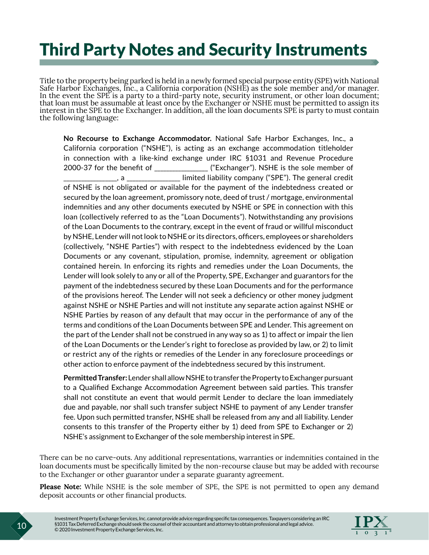### <span id="page-13-0"></span>Third Party Notes and Security Instruments

Title to the property being parked is held in a newly formed special purpose entity (SPE) with National Safe Harbor Exchanges, Inc., a California corporation (NSHE) as the sole member and/or manager. In the event the SPE is a party to a third-party note, security instrument, or other loan document; that loan must be assumable at least once by the Exchanger or NSHE must be permitted to assign its interest in the SPE to the Exchanger. In addition, all the loan documents SPE is party to must contain the following language:

**No Recourse to Exchange Accommodator.** National Safe Harbor Exchanges, Inc., a California corporation ("NSHE"), is acting as an exchange accommodation titleholder in connection with a like-kind exchange under IRC §1031 and Revenue Procedure 2000-37 for the benefit of \_\_\_\_\_\_\_\_\_\_\_\_\_\_\_\_\_\_\_\_ ("Exchanger"). NSHE is the sole member of , a compressive limited liability company ("SPE"). The general credit of NSHE is not obligated or available for the payment of the indebtedness created or secured by the loan agreement, promissory note, deed of trust / mortgage, environmental indemnities and any other documents executed by NSHE or SPE in connection with this loan (collectively referred to as the "Loan Documents"). Notwithstanding any provisions of the Loan Documents to the contrary, except in the event of fraud or willful misconduct by NSHE, Lender will not look to NSHE or its directors, officers, employees or shareholders (collectively, "NSHE Parties") with respect to the indebtedness evidenced by the Loan Documents or any covenant, stipulation, promise, indemnity, agreement or obligation contained herein. In enforcing its rights and remedies under the Loan Documents, the Lender will look solely to any or all of the Property, SPE, Exchanger and guarantors for the payment of the indebtedness secured by these Loan Documents and for the performance of the provisions hereof. The Lender will not seek a deficiency or other money judgment against NSHE or NSHE Parties and will not institute any separate action against NSHE or NSHE Parties by reason of any default that may occur in the performance of any of the terms and conditions of the Loan Documents between SPE and Lender. This agreement on the part of the Lender shall not be construed in any way so as 1) to affect or impair the lien of the Loan Documents or the Lender's right to foreclose as provided by law, or 2) to limit or restrict any of the rights or remedies of the Lender in any foreclosure proceedings or other action to enforce payment of the indebtedness secured by this instrument.

**Permitted Transfer:** Lender shall allow NSHE to transfer the Property to Exchanger pursuant to a Qualified Exchange Accommodation Agreement between said parties. This transfer shall not constitute an event that would permit Lender to declare the loan immediately due and payable, nor shall such transfer subject NSHE to payment of any Lender transfer fee. Upon such permitted transfer, NSHE shall be released from any and all liability. Lender consents to this transfer of the Property either by 1) deed from SPE to Exchanger or 2) NSHE's assignment to Exchanger of the sole membership interest in SPE.

There can be no carve-outs. Any additional representations, warranties or indemnities contained in the loan documents must be specifically limited by the non-recourse clause but may be added with recourse to the Exchanger or other guarantor under a separate guaranty agreement.

**Please Note:** While NSHE is the sole member of SPE, the SPE is not permitted to open any demand deposit accounts or other financial products.

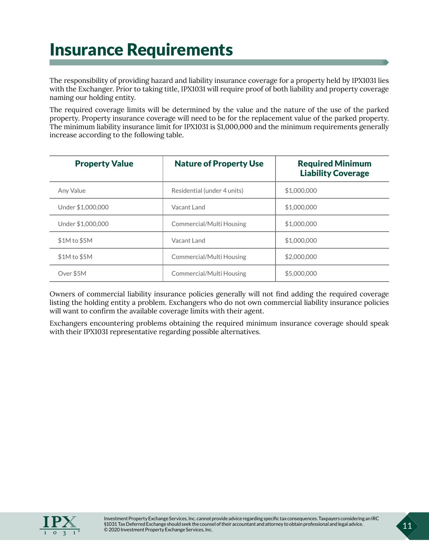### <span id="page-14-0"></span>Insurance Requirements

The responsibility of providing hazard and liability insurance coverage for a property held by IPX1031 lies with the Exchanger. Prior to taking title, IPX1031 will require proof of both liability and property coverage naming our holding entity.

The required coverage limits will be determined by the value and the nature of the use of the parked property. Property insurance coverage will need to be for the replacement value of the parked property. The minimum liability insurance limit for IPX1031 is \$1,000,000 and the minimum requirements generally increase according to the following table.

| <b>Property Value</b> | <b>Nature of Property Use</b> | <b>Required Minimum</b><br><b>Liability Coverage</b> |
|-----------------------|-------------------------------|------------------------------------------------------|
| Any Value             | Residential (under 4 units)   | \$1,000,000                                          |
| Under \$1,000,000     | Vacant Land                   | \$1,000,000                                          |
| Under \$1,000,000     | Commercial/Multi Housing      | \$1,000,000                                          |
| \$1M to \$5M          | Vacant Land                   | \$1,000,000                                          |
| \$1M to \$5M          | Commercial/Multi Housing      | \$2,000,000                                          |
| Over \$5M             | Commercial/Multi Housing      | \$5,000,000                                          |

Owners of commercial liability insurance policies generally will not find adding the required coverage listing the holding entity a problem. Exchangers who do not own commercial liability insurance policies will want to confirm the available coverage limits with their agent.

Exchangers encountering problems obtaining the required minimum insurance coverage should speak with their IPX1031 representative regarding possible alternatives.

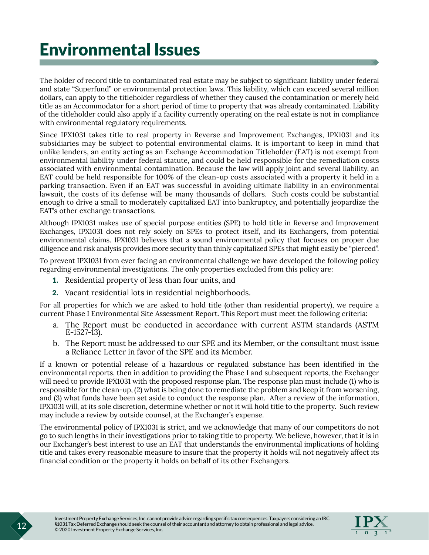### <span id="page-15-0"></span>Environmental Issues

The holder of record title to contaminated real estate may be subject to significant liability under federal and state "Superfund" or environmental protection laws. This liability, which can exceed several million dollars, can apply to the titleholder regardless of whether they caused the contamination or merely held title as an Accommodator for a short period of time to property that was already contaminated. Liability of the titleholder could also apply if a facility currently operating on the real estate is not in compliance with environmental regulatory requirements.

Since IPX1031 takes title to real property in Reverse and Improvement Exchanges, IPX1031 and its subsidiaries may be subject to potential environmental claims. It is important to keep in mind that unlike lenders, an entity acting as an Exchange Accommodation Titleholder (EAT) is not exempt from environmental liability under federal statute, and could be held responsible for the remediation costs associated with environmental contamination. Because the law will apply joint and several liability, an EAT could be held responsible for 100% of the clean-up costs associated with a property it held in a parking transaction. Even if an EAT was successful in avoiding ultimate liability in an environmental lawsuit, the costs of its defense will be many thousands of dollars. Such costs could be substantial enough to drive a small to moderately capitalized EAT into bankruptcy, and potentially jeopardize the EAT's other exchange transactions.

Although IPX1031 makes use of special purpose entities (SPE) to hold title in Reverse and Improvement Exchanges, IPX1031 does not rely solely on SPEs to protect itself, and its Exchangers, from potential environmental claims. IPX1031 believes that a sound environmental policy that focuses on proper due diligence and risk analysis provides more security than thinly capitalized SPEs that might easily be "pierced".

To prevent IPX1031 from ever facing an environmental challenge we have developed the following policy regarding environmental investigations. The only properties excluded from this policy are:

- 1. Residential property of less than four units, and
- 2. Vacant residential lots in residential neighborhoods.

For all properties for which we are asked to hold title (other than residential property), we require a current Phase I Environmental Site Assessment Report. This Report must meet the following criteria:

- a. The Report must be conducted in accordance with current ASTM standards (ASTM E-1527-13).
- b. The Report must be addressed to our SPE and its Member, or the consultant must issue a Reliance Letter in favor of the SPE and its Member.

If a known or potential release of a hazardous or regulated substance has been identified in the environmental reports, then in addition to providing the Phase I and subsequent reports, the Exchanger will need to provide IPX1031 with the proposed response plan. The response plan must include (1) who is responsible for the clean-up, (2) what is being done to remediate the problem and keep it from worsening, and (3) what funds have been set aside to conduct the response plan. After a review of the information, IPX1031 will, at its sole discretion, determine whether or not it will hold title to the property. Such review may include a review by outside counsel, at the Exchanger's expense.

The environmental policy of IPX1031 is strict, and we acknowledge that many of our competitors do not go to such lengths in their investigations prior to taking title to property. We believe, however, that it is in our Exchanger's best interest to use an EAT that understands the environmental implications of holding title and takes every reasonable measure to insure that the property it holds will not negatively affect its financial condition or the property it holds on behalf of its other Exchangers.

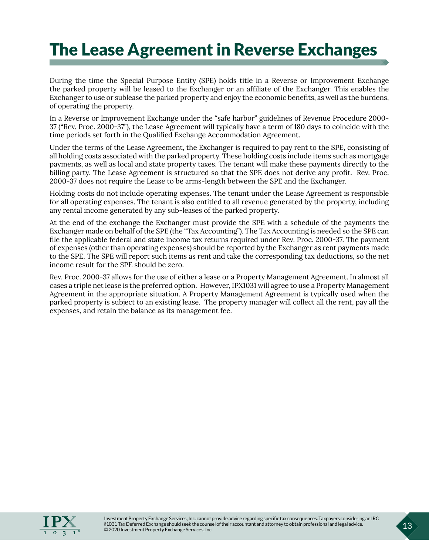### <span id="page-16-0"></span>The Lease Agreement in Reverse Exchanges

During the time the Special Purpose Entity (SPE) holds title in a Reverse or Improvement Exchange the parked property will be leased to the Exchanger or an affiliate of the Exchanger. This enables the Exchanger to use or sublease the parked property and enjoy the economic benefits, as well as the burdens, of operating the property.

In a Reverse or Improvement Exchange under the "safe harbor" guidelines of Revenue Procedure 2000- 37 ("Rev. Proc. 2000-37"), the Lease Agreement will typically have a term of 180 days to coincide with the time periods set forth in the Qualified Exchange Accommodation Agreement.

Under the terms of the Lease Agreement, the Exchanger is required to pay rent to the SPE, consisting of all holding costs associated with the parked property. These holding costs include items such as mortgage payments, as well as local and state property taxes. The tenant will make these payments directly to the billing party. The Lease Agreement is structured so that the SPE does not derive any profit. Rev. Proc. 2000-37 does not require the Lease to be arms-length between the SPE and the Exchanger.

Holding costs do not include operating expenses. The tenant under the Lease Agreement is responsible for all operating expenses. The tenant is also entitled to all revenue generated by the property, including any rental income generated by any sub-leases of the parked property.

At the end of the exchange the Exchanger must provide the SPE with a schedule of the payments the Exchanger made on behalf of the SPE (the "Tax Accounting"). The Tax Accounting is needed so the SPE can file the applicable federal and state income tax returns required under Rev. Proc. 2000-37. The payment of expenses (other than operating expenses) should be reported by the Exchanger as rent payments made to the SPE. The SPE will report such items as rent and take the corresponding tax deductions, so the net income result for the SPE should be zero.

Rev. Proc. 2000-37 allows for the use of either a lease or a Property Management Agreement. In almost all cases a triple net lease is the preferred option. However, IPX1031 will agree to use a Property Management Agreement in the appropriate situation. A Property Management Agreement is typically used when the parked property is subject to an existing lease. The property manager will collect all the rent, pay all the expenses, and retain the balance as its management fee.

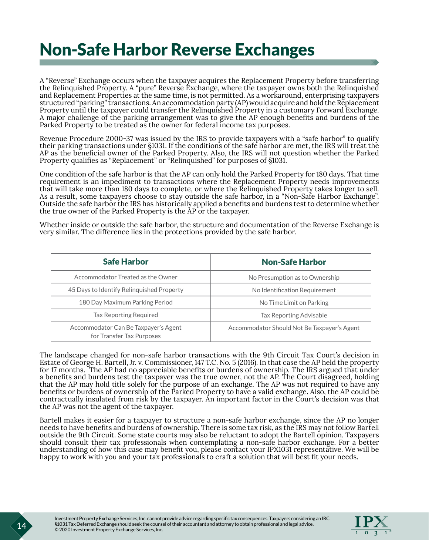### <span id="page-17-0"></span>Non-Safe Harbor Reverse Exchanges

A "Reverse" Exchange occurs when the taxpayer acquires the Replacement Property before transferring the Relinquished Property. A "pure" Reverse Exchange, where the taxpayer owns both the Relinquished and Replacement Properties at the same time, is not permitted. As a workaround, enterprising taxpayers structured "parking" transactions. An accommodation party (AP) would acquire and hold the Replacement Property until the taxpayer could transfer the Relinquished Property in a customary Forward Exchange. A major challenge of the parking arrangement was to give the AP enough benefits and burdens of the Parked Property to be treated as the owner for federal income tax purposes.

Revenue Procedure 2000-37 was issued by the IRS to provide taxpayers with a "safe harbor" to qualify their parking transactions under §1031. If the conditions of the safe harbor are met, the IRS will treat the AP as the beneficial owner of the Parked Property. Also, the IRS will not question whether the Parked Property qualifies as "Replacement" or "Relinquished" for purposes of §1031.

One condition of the safe harbor is that the AP can only hold the Parked Property for 180 days. That time requirement is an impediment to transactions where the Replacement Property needs improvements that will take more than 180 days to complete, or where the Relinquished Property takes longer to sell. As a result, some taxpayers choose to stay outside the safe harbor, in a "Non-Safe Harbor Exchange". Outside the safe harbor the IRS has historically applied a benefits and burdens test to determine whether the true owner of the Parked Property is the AP or the taxpayer.

Whether inside or outside the safe harbor, the structure and documentation of the Reverse Exchange is very similar. The difference lies in the protections provided by the safe harbor.

| <b>Safe Harbor</b>                                                | <b>Non-Safe Harbor</b>                      |
|-------------------------------------------------------------------|---------------------------------------------|
| Accommodator Treated as the Owner                                 | No Presumption as to Ownership              |
| 45 Days to Identify Relinguished Property                         | No Identification Requirement               |
| 180 Day Maximum Parking Period                                    | No Time Limit on Parking                    |
| Tax Reporting Required                                            | <b>Tax Reporting Advisable</b>              |
| Accommodator Can Be Taxpayer's Agent<br>for Transfer Tax Purposes | Accommodator Should Not Be Taxpayer's Agent |

The landscape changed for non-safe harbor transactions with the 9th Circuit Tax Court's decision in Estate of George H. Bartell, Jr. v. Commissioner, 147 T.C. No. 5 (2016). In that case the AP held the property for 17 months. The AP had no appreciable benefits or burdens of ownership. The IRS argued that under a benefits and burdens test the taxpayer was the true owner, not the AP. The Court disagreed, holding that the AP may hold title solely for the purpose of an exchange. The AP was not required to have any benefits or burdens of ownership of the Parked Property to have a valid exchange. Also, the AP could be contractually insulated from risk by the taxpayer. An important factor in the Court's decision was that the AP was not the agent of the taxpayer.

Bartell makes it easier for a taxpayer to structure a non-safe harbor exchange, since the AP no longer needs to have benefits and burdens of ownership. There is some tax risk, as the IRS may not follow Bartell outside the 9th Circuit. Some state courts may also be reluctant to adopt the Bartell opinion. Taxpayers should consult their tax professionals when contemplating a non-safe harbor exchange. For a better understanding of how this case may benefit you, please contact your IPX1031 representative. We will be happy to work with you and your tax professionals to craft a solution that will best fit your needs.

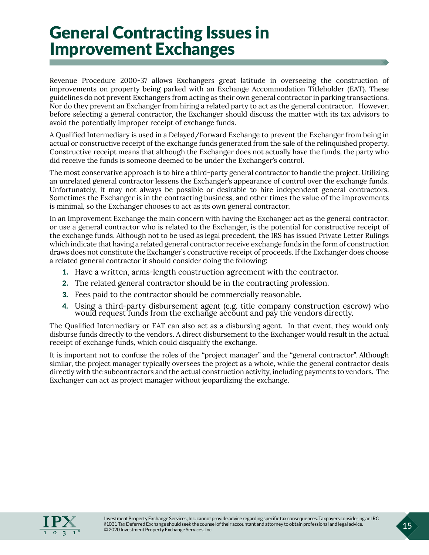### <span id="page-18-0"></span>General Contracting Issues in Improvement Exchanges

Revenue Procedure 2000-37 allows Exchangers great latitude in overseeing the construction of improvements on property being parked with an Exchange Accommodation Titleholder (EAT). These guidelines do not prevent Exchangers from acting as their own general contractor in parking transactions. Nor do they prevent an Exchanger from hiring a related party to act as the general contractor. However, before selecting a general contractor, the Exchanger should discuss the matter with its tax advisors to avoid the potentially improper receipt of exchange funds.

A Qualified Intermediary is used in a Delayed/Forward Exchange to prevent the Exchanger from being in actual or constructive receipt of the exchange funds generated from the sale of the relinquished property. Constructive receipt means that although the Exchanger does not actually have the funds, the party who did receive the funds is someone deemed to be under the Exchanger's control.

The most conservative approach is to hire a third-party general contractor to handle the project. Utilizing an unrelated general contractor lessens the Exchanger's appearance of control over the exchange funds. Unfortunately, it may not always be possible or desirable to hire independent general contractors. Sometimes the Exchanger is in the contracting business, and other times the value of the improvements is minimal, so the Exchanger chooses to act as its own general contractor.

In an Improvement Exchange the main concern with having the Exchanger act as the general contractor, or use a general contractor who is related to the Exchanger, is the potential for constructive receipt of the exchange funds. Although not to be used as legal precedent, the IRS has issued Private Letter Rulings which indicate that having a related general contractor receive exchange funds in the form of construction draws does not constitute the Exchanger's constructive receipt of proceeds. If the Exchanger does choose a related general contractor it should consider doing the following:

- 1. Have a written, arms-length construction agreement with the contractor.
- 2. The related general contractor should be in the contracting profession.
- 3. Fees paid to the contractor should be commercially reasonable.
- 4. Using a third-party disbursement agent (e.g. title company construction escrow) who would request funds from the exchange account and pay the vendors directly.

The Qualified Intermediary or EAT can also act as a disbursing agent. In that event, they would only disburse funds directly to the vendors. A direct disbursement to the Exchanger would result in the actual receipt of exchange funds, which could disqualify the exchange.

It is important not to confuse the roles of the "project manager" and the "general contractor". Although similar, the project manager typically oversees the project as a whole, while the general contractor deals directly with the subcontractors and the actual construction activity, including payments to vendors. The Exchanger can act as project manager without jeopardizing the exchange.

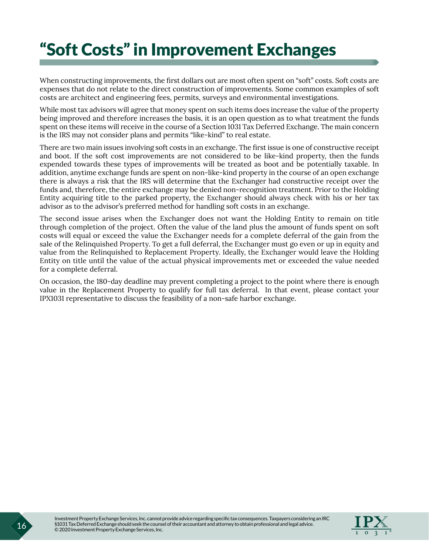### <span id="page-19-0"></span>"Soft Costs" in Improvement Exchanges

When constructing improvements, the first dollars out are most often spent on "soft" costs. Soft costs are expenses that do not relate to the direct construction of improvements. Some common examples of soft costs are architect and engineering fees, permits, surveys and environmental investigations.

While most tax advisors will agree that money spent on such items does increase the value of the property being improved and therefore increases the basis, it is an open question as to what treatment the funds spent on these items will receive in the course of a Section 1031 Tax Deferred Exchange. The main concern is the IRS may not consider plans and permits "like-kind" to real estate.

There are two main issues involving soft costs in an exchange. The first issue is one of constructive receipt and boot. If the soft cost improvements are not considered to be like-kind property, then the funds expended towards these types of improvements will be treated as boot and be potentially taxable. In addition, anytime exchange funds are spent on non-like-kind property in the course of an open exchange there is always a risk that the IRS will determine that the Exchanger had constructive receipt over the funds and, therefore, the entire exchange may be denied non-recognition treatment. Prior to the Holding Entity acquiring title to the parked property, the Exchanger should always check with his or her tax advisor as to the advisor's preferred method for handling soft costs in an exchange.

The second issue arises when the Exchanger does not want the Holding Entity to remain on title through completion of the project. Often the value of the land plus the amount of funds spent on soft costs will equal or exceed the value the Exchanger needs for a complete deferral of the gain from the sale of the Relinquished Property. To get a full deferral, the Exchanger must go even or up in equity and value from the Relinquished to Replacement Property. Ideally, the Exchanger would leave the Holding Entity on title until the value of the actual physical improvements met or exceeded the value needed for a complete deferral.

On occasion, the 180-day deadline may prevent completing a project to the point where there is enough value in the Replacement Property to qualify for full tax deferral. In that event, please contact your IPX1031 representative to discuss the feasibility of a non-safe harbor exchange.

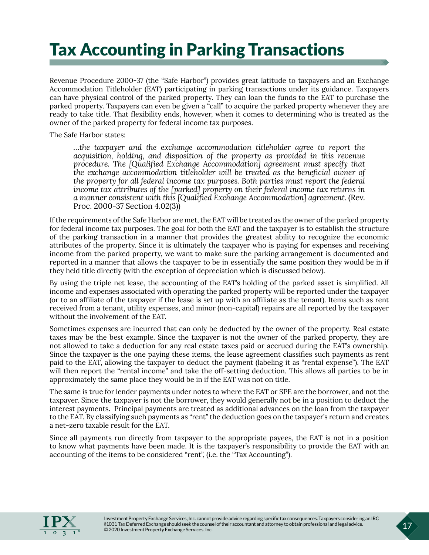### <span id="page-20-0"></span>Tax Accounting in Parking Transactions

Revenue Procedure 2000-37 (the "Safe Harbor") provides great latitude to taxpayers and an Exchange Accommodation Titleholder (EAT) participating in parking transactions under its guidance. Taxpayers can have physical control of the parked property. They can loan the funds to the EAT to purchase the parked property. Taxpayers can even be given a "call" to acquire the parked property whenever they are ready to take title. That flexibility ends, however, when it comes to determining who is treated as the owner of the parked property for federal income tax purposes.

The Safe Harbor states:

*…the taxpayer and the exchange accommodation titleholder agree to report the acquisition, holding, and disposition of the property as provided in this revenue procedure. The [Qualified Exchange Accommodation] agreement must specify that the exchange accommodation titleholder will be treated as the beneficial owner of the property for all federal income tax purposes. Both parties must report the federal income tax attributes of the [parked] property on their federal income tax returns in a manner consistent with this [Qualified Exchange Accommodation] agreement.* (Rev. Proc. 2000-37 Section 4.02(3))

If the requirements of the Safe Harbor are met, the EAT will be treated as the owner of the parked property for federal income tax purposes. The goal for both the EAT and the taxpayer is to establish the structure of the parking transaction in a manner that provides the greatest ability to recognize the economic attributes of the property. Since it is ultimately the taxpayer who is paying for expenses and receiving income from the parked property, we want to make sure the parking arrangement is documented and reported in a manner that allows the taxpayer to be in essentially the same position they would be in if they held title directly (with the exception of depreciation which is discussed below).

By using the triple net lease, the accounting of the EAT's holding of the parked asset is simplified. All income and expenses associated with operating the parked property will be reported under the taxpayer (or to an affiliate of the taxpayer if the lease is set up with an affiliate as the tenant). Items such as rent received from a tenant, utility expenses, and minor (non-capital) repairs are all reported by the taxpayer without the involvement of the EAT.

Sometimes expenses are incurred that can only be deducted by the owner of the property. Real estate taxes may be the best example. Since the taxpayer is not the owner of the parked property, they are not allowed to take a deduction for any real estate taxes paid or accrued during the EAT's ownership. Since the taxpayer is the one paying these items, the lease agreement classifies such payments as rent paid to the EAT, allowing the taxpayer to deduct the payment (labeling it as "rental expense"). The EAT will then report the "rental income" and take the off-setting deduction. This allows all parties to be in approximately the same place they would be in if the EAT was not on title.

The same is true for lender payments under notes to where the EAT or SPE are the borrower, and not the taxpayer. Since the taxpayer is not the borrower, they would generally not be in a position to deduct the interest payments. Principal payments are treated as additional advances on the loan from the taxpayer to the EAT. By classifying such payments as "rent" the deduction goes on the taxpayer's return and creates a net-zero taxable result for the EAT.

Since all payments run directly from taxpayer to the appropriate payees, the EAT is not in a position to know what payments have been made. It is the taxpayer's responsibility to provide the EAT with an accounting of the items to be considered "rent", (i.e. the "Tax Accounting").

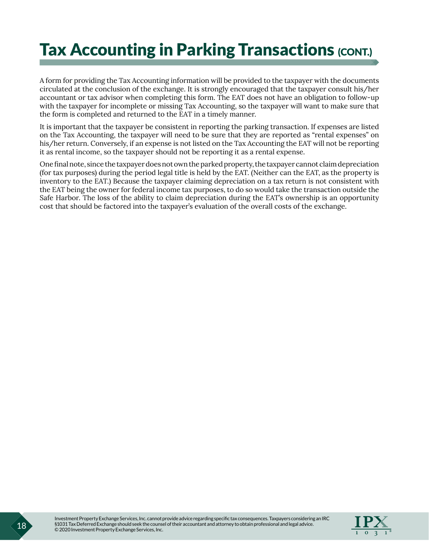### **Tax Accounting in Parking Transactions (CONT.)**

A form for providing the Tax Accounting information will be provided to the taxpayer with the documents circulated at the conclusion of the exchange. It is strongly encouraged that the taxpayer consult his/her accountant or tax advisor when completing this form. The EAT does not have an obligation to follow-up with the taxpayer for incomplete or missing Tax Accounting, so the taxpayer will want to make sure that the form is completed and returned to the EAT in a timely manner.

It is important that the taxpayer be consistent in reporting the parking transaction. If expenses are listed on the Tax Accounting, the taxpayer will need to be sure that they are reported as "rental expenses" on his/her return. Conversely, if an expense is not listed on the Tax Accounting the EAT will not be reporting it as rental income, so the taxpayer should not be reporting it as a rental expense.

One final note, since the taxpayer does not own the parked property, the taxpayer cannot claim depreciation (for tax purposes) during the period legal title is held by the EAT. (Neither can the EAT, as the property is inventory to the EAT.) Because the taxpayer claiming depreciation on a tax return is not consistent with the EAT being the owner for federal income tax purposes, to do so would take the transaction outside the Safe Harbor. The loss of the ability to claim depreciation during the EAT's ownership is an opportunity cost that should be factored into the taxpayer's evaluation of the overall costs of the exchange.

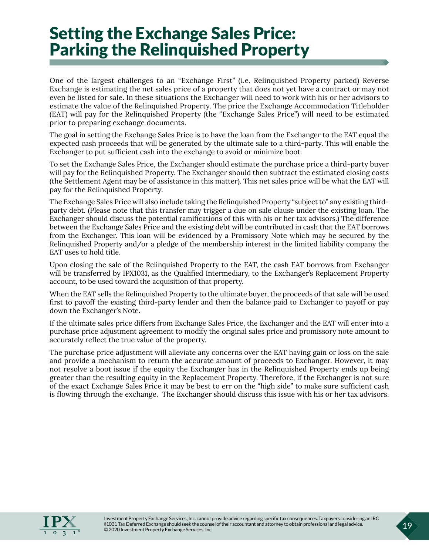### <span id="page-22-0"></span>Setting the Exchange Sales Price: Parking the Relinquished Property

One of the largest challenges to an "Exchange First" (i.e. Relinquished Property parked) Reverse Exchange is estimating the net sales price of a property that does not yet have a contract or may not even be listed for sale. In these situations the Exchanger will need to work with his or her advisors to estimate the value of the Relinquished Property. The price the Exchange Accommodation Titleholder (EAT) will pay for the Relinquished Property (the "Exchange Sales Price") will need to be estimated prior to preparing exchange documents.

The goal in setting the Exchange Sales Price is to have the loan from the Exchanger to the EAT equal the expected cash proceeds that will be generated by the ultimate sale to a third-party. This will enable the Exchanger to put sufficient cash into the exchange to avoid or minimize boot.

To set the Exchange Sales Price, the Exchanger should estimate the purchase price a third-party buyer will pay for the Relinquished Property. The Exchanger should then subtract the estimated closing costs (the Settlement Agent may be of assistance in this matter). This net sales price will be what the EAT will pay for the Relinquished Property.

The Exchange Sales Price will also include taking the Relinquished Property "subject to" any existing thirdparty debt. (Please note that this transfer may trigger a due on sale clause under the existing loan. The Exchanger should discuss the potential ramifications of this with his or her tax advisors.) The difference between the Exchange Sales Price and the existing debt will be contributed in cash that the EAT borrows from the Exchanger. This loan will be evidenced by a Promissory Note which may be secured by the Relinquished Property and/or a pledge of the membership interest in the limited liability company the EAT uses to hold title.

Upon closing the sale of the Relinquished Property to the EAT, the cash EAT borrows from Exchanger will be transferred by IPX1031, as the Qualified Intermediary, to the Exchanger's Replacement Property account, to be used toward the acquisition of that property.

When the EAT sells the Relinquished Property to the ultimate buyer, the proceeds of that sale will be used first to payoff the existing third-party lender and then the balance paid to Exchanger to payoff or pay down the Exchanger's Note.

If the ultimate sales price differs from Exchange Sales Price, the Exchanger and the EAT will enter into a purchase price adjustment agreement to modify the original sales price and promissory note amount to accurately reflect the true value of the property.

The purchase price adjustment will alleviate any concerns over the EAT having gain or loss on the sale and provide a mechanism to return the accurate amount of proceeds to Exchanger. However, it may not resolve a boot issue if the equity the Exchanger has in the Relinquished Property ends up being greater than the resulting equity in the Replacement Property. Therefore, if the Exchanger is not sure of the exact Exchange Sales Price it may be best to err on the "high side" to make sure sufficient cash is flowing through the exchange. The Exchanger should discuss this issue with his or her tax advisors.

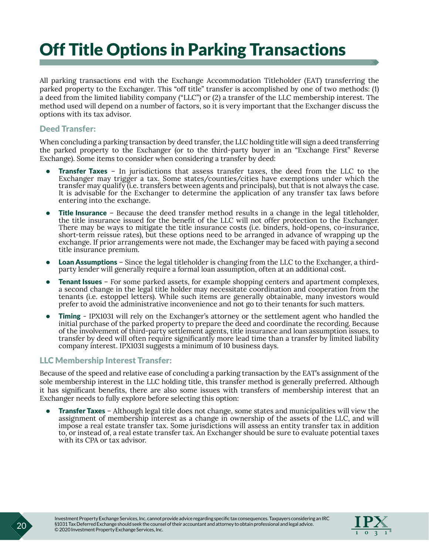### <span id="page-23-0"></span>Off Title Options in Parking Transactions

All parking transactions end with the Exchange Accommodation Titleholder (EAT) transferring the parked property to the Exchanger. This "off title" transfer is accomplished by one of two methods: (1) a deed from the limited liability company ("LLC") or (2) a transfer of the LLC membership interest. The method used will depend on a number of factors, so it is very important that the Exchanger discuss the options with its tax advisor.

#### Deed Transfer:

When concluding a parking transaction by deed transfer, the LLC holding title will sign a deed transferring the parked property to the Exchanger (or to the third-party buyer in an "Exchange First" Reverse Exchange). Some items to consider when considering a transfer by deed:

- Transfer Taxes In jurisdictions that assess transfer taxes, the deed from the LLC to the Exchanger may trigger a tax. Some states/counties/cities have exemptions under which the transfer may qualify (i.e. transfers between agents and principals), but that is not always the case. It is advisable for the Exchanger to determine the application of any transfer tax laws before entering into the exchange.
- Title Insurance Because the deed transfer method results in a change in the legal titleholder, the title insurance issued for the benefit of the LLC will not offer protection to the Exchanger. There may be ways to mitigate the title insurance costs (i.e. binders, hold-opens, co-insurance, short-term reissue rates), but these options need to be arranged in advance of wrapping up the exchange. If prior arrangements were not made, the Exchanger may be faced with paying a second title insurance premium.
- **Loan Assumptions** Since the legal titleholder is changing from the LLC to the Exchanger, a thirdparty lender will generally require a formal loan assumption, often at an additional cost.
- Tenant Issues For some parked assets, for example shopping centers and apartment complexes, a second change in the legal title holder may necessitate coordination and cooperation from the tenants (i.e. estoppel letters). While such items are generally obtainable, many investors would prefer to avoid the administrative inconvenience and not go to their tenants for such matters.
- **Timing** IPX1031 will rely on the Exchanger's attorney or the settlement agent who handled the initial purchase of the parked property to prepare the deed and coordinate the recording. Because of the involvement of third-party settlement agents, title insurance and loan assumption issues, to transfer by deed will often require significantly more lead time than a transfer by limited liability company interest. IPX1031 suggests a minimum of 10 business days.

#### LLC Membership Interest Transfer:

Because of the speed and relative ease of concluding a parking transaction by the EAT's assignment of the sole membership interest in the LLC holding title, this transfer method is generally preferred. Although it has significant benefits, there are also some issues with transfers of membership interest that an Exchanger needs to fully explore before selecting this option:

**Transfer Taxes** – Although legal title does not change, some states and municipalities will view the assignment of membership interest as a change in ownership of the assets of the LLC, and will impose a real estate transfer tax. Some jurisdictions will assess an entity transfer tax in addition to, or instead of, a real estate transfer tax. An Exchanger should be sure to evaluate potential taxes with its CPA or tax advisor.

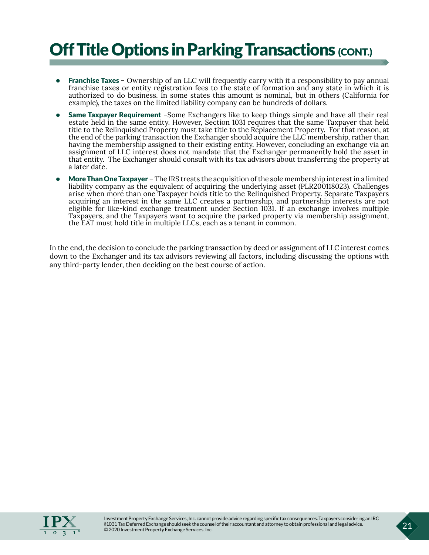### Off Title Options in Parking Transactions (CONT.)

- Franchise Taxes Ownership of an LLC will frequently carry with it a responsibility to pay annual franchise taxes or entity registration fees to the state of formation and any state in which it is authorized to do business. In some states this amount is nominal, but in others (California for example), the taxes on the limited liability company can be hundreds of dollars.
- Same Taxpayer Requirement –Some Exchangers like to keep things simple and have all their real estate held in the same entity. However, Section 1031 requires that the same Taxpayer that held title to the Relinquished Property must take title to the Replacement Property. For that reason, at the end of the parking transaction the Exchanger should acquire the LLC membership, rather than having the membership assigned to their existing entity. However, concluding an exchange via an assignment of LLC interest does not mandate that the Exchanger permanently hold the asset in that entity. The Exchanger should consult with its tax advisors about transferring the property at a later date.
- More Than One Taxpayer The IRS treats the acquisition of the sole membership interest in a limited liability company as the equivalent of acquiring the underlying asset (PLR200118023). Challenges arise when more than one Taxpayer holds title to the Relinquished Property. Separate Taxpayers acquiring an interest in the same LLC creates a partnership, and partnership interests are not eligible for like-kind exchange treatment under Section 1031. If an exchange involves multiple Taxpayers, and the Taxpayers want to acquire the parked property via membership assignment, the EAT must hold title in multiple LLCs, each as a tenant in common.

In the end, the decision to conclude the parking transaction by deed or assignment of LLC interest comes down to the Exchanger and its tax advisors reviewing all factors, including discussing the options with any third-party lender, then deciding on the best course of action.

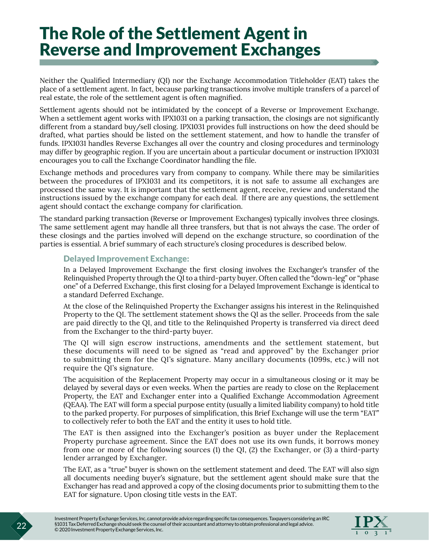### <span id="page-25-0"></span>The Role of the Settlement Agent in Reverse and Improvement Exchanges

Neither the Qualified Intermediary (QI) nor the Exchange Accommodation Titleholder (EAT) takes the place of a settlement agent. In fact, because parking transactions involve multiple transfers of a parcel of real estate, the role of the settlement agent is often magnified.

Settlement agents should not be intimidated by the concept of a Reverse or Improvement Exchange. When a settlement agent works with IPX1031 on a parking transaction, the closings are not significantly different from a standard buy/sell closing. IPX1031 provides full instructions on how the deed should be drafted, what parties should be listed on the settlement statement, and how to handle the transfer of funds. IPX1031 handles Reverse Exchanges all over the country and closing procedures and terminology may differ by geographic region. If you are uncertain about a particular document or instruction IPX1031 encourages you to call the Exchange Coordinator handling the file.

Exchange methods and procedures vary from company to company. While there may be similarities between the procedures of IPX1031 and its competitors, it is not safe to assume all exchanges are processed the same way. It is important that the settlement agent, receive, review and understand the instructions issued by the exchange company for each deal. If there are any questions, the settlement agent should contact the exchange company for clarification.

The standard parking transaction (Reverse or Improvement Exchanges) typically involves three closings. The same settlement agent may handle all three transfers, but that is not always the case. The order of these closings and the parties involved will depend on the exchange structure, so coordination of the parties is essential. A brief summary of each structure's closing procedures is described below.

#### Delayed Improvement Exchange:

In a Delayed Improvement Exchange the first closing involves the Exchanger's transfer of the Relinquished Property through the QI to a third-party buyer. Often called the "down-leg" or "phase one" of a Deferred Exchange, this first closing for a Delayed Improvement Exchange is identical to a standard Deferred Exchange.

At the close of the Relinquished Property the Exchanger assigns his interest in the Relinquished Property to the QI. The settlement statement shows the QI as the seller. Proceeds from the sale are paid directly to the QI, and title to the Relinquished Property is transferred via direct deed from the Exchanger to the third-party buyer.

The QI will sign escrow instructions, amendments and the settlement statement, but these documents will need to be signed as "read and approved" by the Exchanger prior to submitting them for the QI's signature. Many ancillary documents (1099s, etc.) will not require the QI's signature.

The acquisition of the Replacement Property may occur in a simultaneous closing or it may be delayed by several days or even weeks. When the parties are ready to close on the Replacement Property, the EAT and Exchanger enter into a Qualified Exchange Accommodation Agreement (QEAA). The EAT will form a special purpose entity (usually a limited liability company) to hold title to the parked property. For purposes of simplification, this Brief Exchange will use the term "EAT" to collectively refer to both the EAT and the entity it uses to hold title.

The EAT is then assigned into the Exchanger's position as buyer under the Replacement Property purchase agreement. Since the EAT does not use its own funds, it borrows money from one or more of the following sources (1) the QI, (2) the Exchanger, or (3) a third-party lender arranged by Exchanger.

The EAT, as a "true" buyer is shown on the settlement statement and deed. The EAT will also sign all documents needing buyer's signature, but the settlement agent should make sure that the Exchanger has read and approved a copy of the closing documents prior to submitting them to the EAT for signature. Upon closing title vests in the EAT.

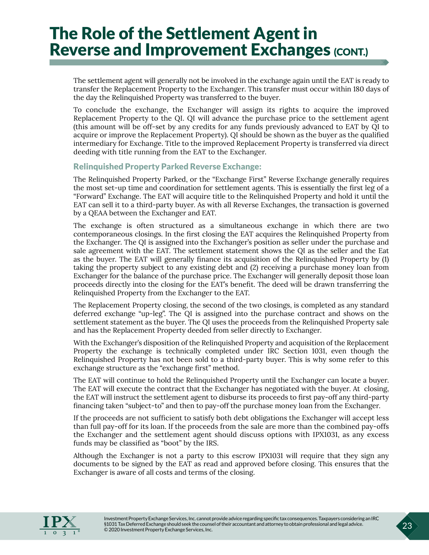# The Role of the Settlement Agent in<br>Reverse and Improvement Exchanges (CONT.)

The settlement agent will generally not be involved in the exchange again until the EAT is ready to transfer the Replacement Property to the Exchanger. This transfer must occur within 180 days of the day the Relinquished Property was transferred to the buyer.

To conclude the exchange, the Exchanger will assign its rights to acquire the improved Replacement Property to the QI. QI will advance the purchase price to the settlement agent (this amount will be off-set by any credits for any funds previously advanced to EAT by QI to acquire or improve the Replacement Property). QI should be shown as the buyer as the qualified intermediary for Exchange. Title to the improved Replacement Property is transferred via direct deeding with title running from the EAT to the Exchanger.

#### Relinquished Property Parked Reverse Exchange:

The Relinquished Property Parked, or the "Exchange First" Reverse Exchange generally requires the most set-up time and coordination for settlement agents. This is essentially the first leg of a "Forward" Exchange. The EAT will acquire title to the Relinquished Property and hold it until the EAT can sell it to a third-party buyer. As with all Reverse Exchanges, the transaction is governed by a QEAA between the Exchanger and EAT.

The exchange is often structured as a simultaneous exchange in which there are two contemporaneous closings. In the first closing the EAT acquires the Relinquished Property from the Exchanger. The QI is assigned into the Exchanger's position as seller under the purchase and sale agreement with the EAT. The settlement statement shows the QI as the seller and the Eat as the buyer. The EAT will generally finance its acquisition of the Relinquished Property by (1) taking the property subject to any existing debt and (2) receiving a purchase money loan from Exchanger for the balance of the purchase price. The Exchanger will generally deposit those loan proceeds directly into the closing for the EAT's benefit. The deed will be drawn transferring the Relinquished Property from the Exchanger to the EAT.

The Replacement Property closing, the second of the two closings, is completed as any standard deferred exchange "up-leg". The QI is assigned into the purchase contract and shows on the settlement statement as the buyer. The QI uses the proceeds from the Relinquished Property sale and has the Replacement Property deeded from seller directly to Exchanger.

With the Exchanger's disposition of the Relinquished Property and acquisition of the Replacement Property the exchange is technically completed under IRC Section 1031, even though the Relinquished Property has not been sold to a third-party buyer. This is why some refer to this exchange structure as the "exchange first" method.

The EAT will continue to hold the Relinquished Property until the Exchanger can locate a buyer. The EAT will execute the contract that the Exchanger has negotiated with the buyer. At closing, the EAT will instruct the settlement agent to disburse its proceeds to first pay-off any third-party financing taken "subject-to" and then to pay-off the purchase money loan from the Exchanger.

If the proceeds are not sufficient to satisfy both debt obligations the Exchanger will accept less than full pay-off for its loan. If the proceeds from the sale are more than the combined pay-offs the Exchanger and the settlement agent should discuss options with IPX1031, as any excess funds may be classified as "boot" by the IRS.

Although the Exchanger is not a party to this escrow IPX1031 will require that they sign any documents to be signed by the EAT as read and approved before closing. This ensures that the Exchanger is aware of all costs and terms of the closing.

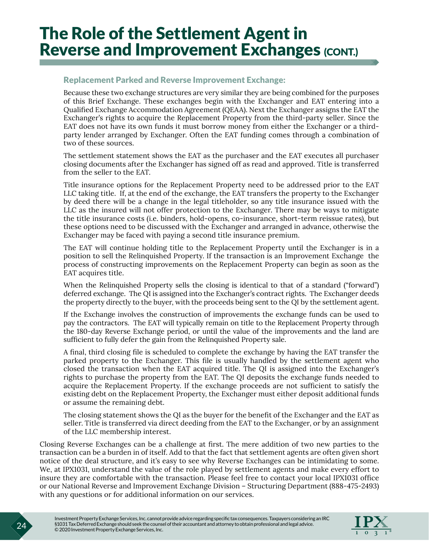# The Role of the Settlement Agent in<br>Reverse and Improvement Exchanges (CONT.)

#### Replacement Parked and Reverse Improvement Exchange:

Because these two exchange structures are very similar they are being combined for the purposes of this Brief Exchange. These exchanges begin with the Exchanger and EAT entering into a Qualified Exchange Accommodation Agreement (QEAA). Next the Exchanger assigns the EAT the Exchanger's rights to acquire the Replacement Property from the third-party seller. Since the EAT does not have its own funds it must borrow money from either the Exchanger or a thirdparty lender arranged by Exchanger. Often the EAT funding comes through a combination of two of these sources.

The settlement statement shows the EAT as the purchaser and the EAT executes all purchaser closing documents after the Exchanger has signed off as read and approved. Title is transferred from the seller to the EAT.

Title insurance options for the Replacement Property need to be addressed prior to the EAT LLC taking title. If, at the end of the exchange, the EAT transfers the property to the Exchanger by deed there will be a change in the legal titleholder, so any title insurance issued with the LLC as the insured will not offer protection to the Exchanger. There may be ways to mitigate the title insurance costs (i.e. binders, hold-opens, co-insurance, short-term reissue rates), but these options need to be discussed with the Exchanger and arranged in advance, otherwise the Exchanger may be faced with paying a second title insurance premium.

The EAT will continue holding title to the Replacement Property until the Exchanger is in a position to sell the Relinquished Property. If the transaction is an Improvement Exchange the process of constructing improvements on the Replacement Property can begin as soon as the EAT acquires title.

When the Relinquished Property sells the closing is identical to that of a standard ("forward") deferred exchange. The QI is assigned into the Exchanger's contract rights. The Exchanger deeds the property directly to the buyer, with the proceeds being sent to the QI by the settlement agent.

If the Exchange involves the construction of improvements the exchange funds can be used to pay the contractors. The EAT will typically remain on title to the Replacement Property through the 180-day Reverse Exchange period, or until the value of the improvements and the land are sufficient to fully defer the gain from the Relinquished Property sale.

A final, third closing file is scheduled to complete the exchange by having the EAT transfer the parked property to the Exchanger. This file is usually handled by the settlement agent who closed the transaction when the EAT acquired title. The QI is assigned into the Exchanger's rights to purchase the property from the EAT. The QI deposits the exchange funds needed to acquire the Replacement Property. If the exchange proceeds are not sufficient to satisfy the existing debt on the Replacement Property, the Exchanger must either deposit additional funds or assume the remaining debt.

The closing statement shows the QI as the buyer for the benefit of the Exchanger and the EAT as seller. Title is transferred via direct deeding from the EAT to the Exchanger, or by an assignment of the LLC membership interest.

Closing Reverse Exchanges can be a challenge at first. The mere addition of two new parties to the transaction can be a burden in of itself. Add to that the fact that settlement agents are often given short notice of the deal structure, and it's easy to see why Reverse Exchanges can be intimidating to some. We, at IPX1031, understand the value of the role played by settlement agents and make every effort to insure they are comfortable with the transaction. Please feel free to contact your local IPX1031 office or our National Reverse and Improvement Exchange Division – Structuring Department (888-475-2493) with any questions or for additional information on our services.

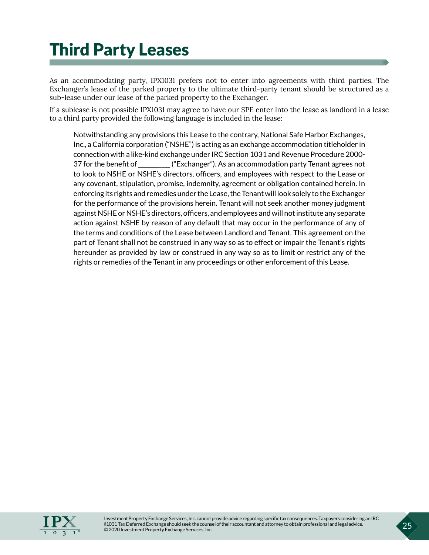### <span id="page-28-0"></span>Third Party Leases

As an accommodating party, IPX1031 prefers not to enter into agreements with third parties. The Exchanger's lease of the parked property to the ultimate third-party tenant should be structured as a sub-lease under our lease of the parked property to the Exchanger.

If a sublease is not possible IPX1031 may agree to have our SPE enter into the lease as landlord in a lease to a third party provided the following language is included in the lease:

Notwithstanding any provisions this Lease to the contrary, National Safe Harbor Exchanges, Inc., a California corporation ("NSHE") is acting as an exchange accommodation titleholder in connection with a like-kind exchange under IRC Section 1031 and Revenue Procedure 2000- 37 for the benefit of \_\_\_\_\_\_\_\_\_\_\_ ("Exchanger"). As an accommodation party Tenant agrees not to look to NSHE or NSHE's directors, officers, and employees with respect to the Lease or any covenant, stipulation, promise, indemnity, agreement or obligation contained herein. In enforcing its rights and remedies under the Lease, the Tenant will look solely to the Exchanger for the performance of the provisions herein. Tenant will not seek another money judgment against NSHE or NSHE's directors, officers, and employees and will not institute any separate action against NSHE by reason of any default that may occur in the performance of any of the terms and conditions of the Lease between Landlord and Tenant. This agreement on the part of Tenant shall not be construed in any way so as to effect or impair the Tenant's rights hereunder as provided by law or construed in any way so as to limit or restrict any of the rights or remedies of the Tenant in any proceedings or other enforcement of this Lease.

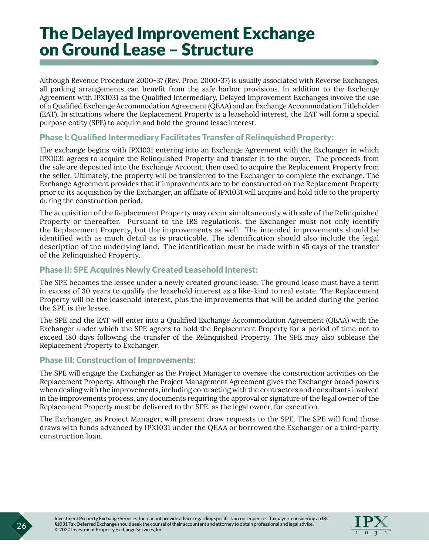### <span id="page-29-0"></span>The Delayed Improvement Exchange on Ground Lease – Structure

Although Revenue Procedure 2000-37 (Rev. Proc. 2000-37) is usually associated with Reverse Exchanges, all parking arrangements can benefit from the safe harbor provisions. In addition to the Exchange Agreement with IPX1031 as the Qualified Intermediary, Delayed Improvement Exchanges involve the use of a Qualified Exchange Accommodation Agreement (QEAA) and an Exchange Accommodation Titleholder (EAT). In situations where the Replacement Property is a leasehold interest, the EAT will form a special purpose entity (SPE) to acquire and hold the ground lease interest.

#### Phase I: Qualified Intermediary Facilitates Transfer of Relinquished Property:

The exchange begins with IPX1031 entering into an Exchange Agreement with the Exchanger in which IPX1031 agrees to acquire the Relinquished Property and transfer it to the buyer. The proceeds from the sale are deposited into the Exchange Account, then used to acquire the Replacement Property from the seller. Ultimately, the property will be transferred to the Exchanger to complete the exchange. The Exchange Agreement provides that if improvements are to be constructed on the Replacement Property prior to its acquisition by the Exchanger, an affiliate of IPX1031 will acquire and hold title to the property during the construction period.

The acquisition of the Replacement Property may occur simultaneously with sale of the Relinquished Property or thereafter. Pursuant to the IRS regulations, the Exchanger must not only identify the Replacement Property, but the improvements as well. The intended improvements should be identified with as much detail as is practicable. The identification should also include the legal description of the underlying land. The identification must be made within 45 days of the transfer of the Relinquished Property.

#### Phase II: SPE Acquires Newly Created Leasehold Interest:

The SPE becomes the lessee under a newly created ground lease. The ground lease must have a term in excess of 30 years to qualify the leasehold interest as a like-kind to real estate. The Replacement Property will be the leasehold interest, plus the improvements that will be added during the period the SPE is the lessee.

The SPE and the EAT will enter into a Qualified Exchange Accommodation Agreement (QEAA) with the Exchanger under which the SPE agrees to hold the Replacement Property for a period of time not to exceed 180 days following the transfer of the Relinquished Property. The SPE may also sublease the Replacement Property to Exchanger.

#### Phase III: Construction of Improvements:

The SPE will engage the Exchanger as the Project Manager to oversee the construction activities on the Replacement Property. Although the Project Management Agreement gives the Exchanger broad powers when dealing with the improvements, including contracting with the contractors and consultants involved in the improvements process, any documents requiring the approval or signature of the legal owner of the Replacement Property must be delivered to the SPE, as the legal owner, for execution.

The Exchanger, as Project Manager, will present draw requests to the SPE. The SPE will fund those draws with funds advanced by IPX1031 under the QEAA or borrowed the Exchanger or a third-party construction loan.

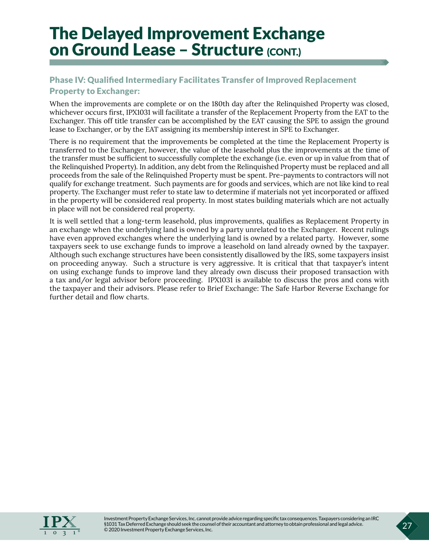# The Delayed Improvement Exchange<br>on Ground Lease – Structure (CONT.)

#### Phase IV: Qualified Intermediary Facilitates Transfer of Improved Replacement Property to Exchanger:

When the improvements are complete or on the 180th day after the Relinquished Property was closed, whichever occurs first, IPX1031 will facilitate a transfer of the Replacement Property from the EAT to the Exchanger. This off title transfer can be accomplished by the EAT causing the SPE to assign the ground lease to Exchanger, or by the EAT assigning its membership interest in SPE to Exchanger.

There is no requirement that the improvements be completed at the time the Replacement Property is transferred to the Exchanger, however, the value of the leasehold plus the improvements at the time of the transfer must be sufficient to successfully complete the exchange (i.e. even or up in value from that of the Relinquished Property). In addition, any debt from the Relinquished Property must be replaced and all proceeds from the sale of the Relinquished Property must be spent. Pre-payments to contractors will not qualify for exchange treatment. Such payments are for goods and services, which are not like kind to real property. The Exchanger must refer to state law to determine if materials not yet incorporated or affixed in the property will be considered real property. In most states building materials which are not actually in place will not be considered real property.

It is well settled that a long-term leasehold, plus improvements, qualifies as Replacement Property in an exchange when the underlying land is owned by a party unrelated to the Exchanger. Recent rulings have even approved exchanges where the underlying land is owned by a related party. However, some taxpayers seek to use exchange funds to improve a leasehold on land already owned by the taxpayer. Although such exchange structures have been consistently disallowed by the IRS, some taxpayers insist on proceeding anyway. Such a structure is very aggressive. It is critical that that taxpayer's intent on using exchange funds to improve land they already own discuss their proposed transaction with a tax and/or legal advisor before proceeding. IPX1031 is available to discuss the pros and cons with the taxpayer and their advisors. Please refer to Brief Exchange: The Safe Harbor Reverse Exchange for further detail and flow charts.

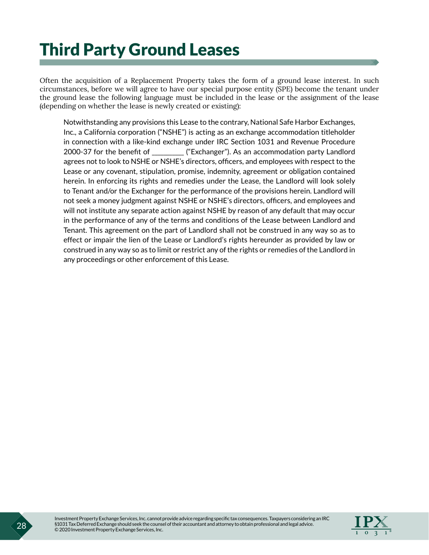### <span id="page-31-0"></span>Third Party Ground Leases

Often the acquisition of a Replacement Property takes the form of a ground lease interest. In such circumstances, before we will agree to have our special purpose entity (SPE) become the tenant under the ground lease the following language must be included in the lease or the assignment of the lease (depending on whether the lease is newly created or existing):

Notwithstanding any provisions this Lease to the contrary, National Safe Harbor Exchanges, Inc., a California corporation ("NSHE") is acting as an exchange accommodation titleholder in connection with a like-kind exchange under IRC Section 1031 and Revenue Procedure 2000-37 for the benefit of \_\_\_\_\_\_\_\_\_\_\_ ("Exchanger"). As an accommodation party Landlord agrees not to look to NSHE or NSHE's directors, officers, and employees with respect to the Lease or any covenant, stipulation, promise, indemnity, agreement or obligation contained herein. In enforcing its rights and remedies under the Lease, the Landlord will look solely to Tenant and/or the Exchanger for the performance of the provisions herein. Landlord will not seek a money judgment against NSHE or NSHE's directors, officers, and employees and will not institute any separate action against NSHE by reason of any default that may occur in the performance of any of the terms and conditions of the Lease between Landlord and Tenant. This agreement on the part of Landlord shall not be construed in any way so as to effect or impair the lien of the Lease or Landlord's rights hereunder as provided by law or construed in any way so as to limit or restrict any of the rights or remedies of the Landlord in any proceedings or other enforcement of this Lease.